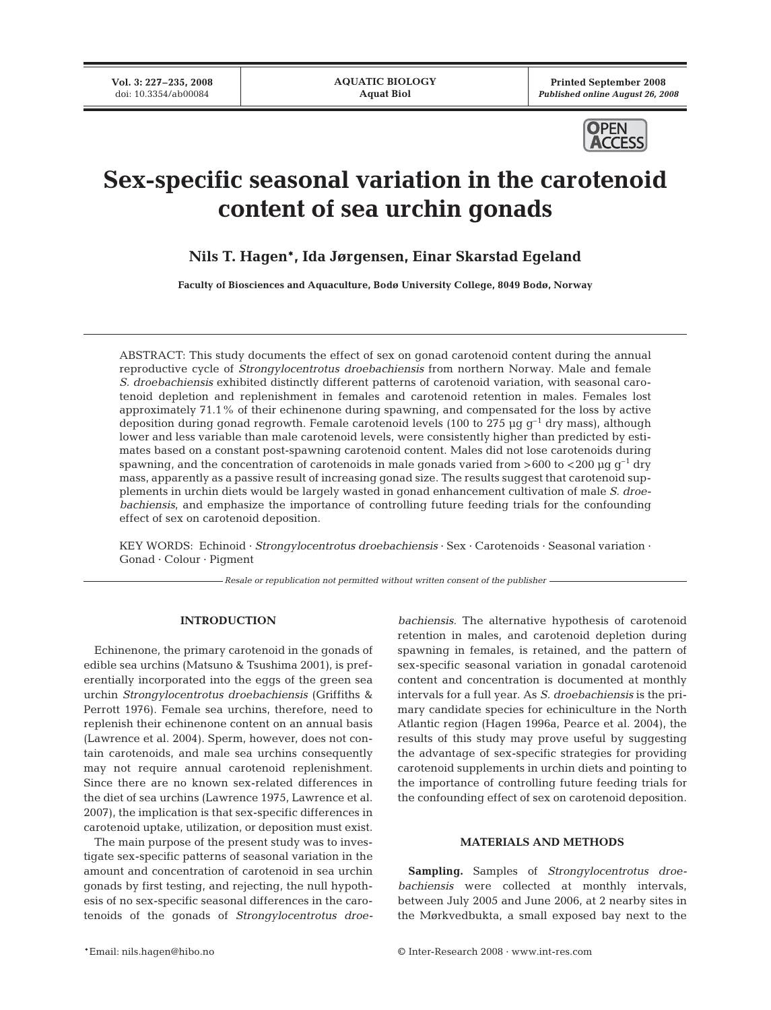**Printed September 2008**  *Published online August 26, 2008*



# **Sex-specific seasonal variation in the carotenoid content of sea urchin gonads**

**Nils T. Hagen\*, Ida Jørgensen, Einar Skarstad Egeland**

**Faculty of Biosciences and Aquaculture, Bodø University College, 8049 Bodø, Norway**

ABSTRACT: This study documents the effect of sex on gonad carotenoid content during the annual reproductive cycle of *Strongylocentrotus droebachiensis* from northern Norway. Male and female *S. droebachiensis* exhibited distinctly different patterns of carotenoid variation, with seasonal carotenoid depletion and replenishment in females and carotenoid retention in males. Females lost approximately 71.1% of their echinenone during spawning, and compensated for the loss by active deposition during gonad regrowth. Female carotenoid levels (100 to 275  $\mu$ g g<sup>-1</sup> dry mass), although lower and less variable than male carotenoid levels, were consistently higher than predicted by estimates based on a constant post-spawning carotenoid content. Males did not lose carotenoids during spawning, and the concentration of carotenoids in male gonads varied from  $>600$  to  $< 200$  µg g<sup>-1</sup> dry mass, apparently as a passive result of increasing gonad size. The results suggest that carotenoid supplements in urchin diets would be largely wasted in gonad enhancement cultivation of male *S. droebachiensis*, and emphasize the importance of controlling future feeding trials for the confounding effect of sex on carotenoid deposition.

KEY WORDS: Echinoid · *Strongylocentrotus droebachiensis* · Sex · Carotenoids · Seasonal variation · Gonad · Colour · Pigment

*Resale or republication not permitted without written consent of the publisher*

# **INTRODUCTION**

Echinenone, the primary carotenoid in the gonads of edible sea urchins (Matsuno & Tsushima 2001), is preferentially incorporated into the eggs of the green sea urchin *Strongylocentrotus droebachiensis* (Griffiths & Perrott 1976). Female sea urchins, therefore, need to replenish their echinenone content on an annual basis (Lawrence et al. 2004). Sperm, however, does not contain carotenoids, and male sea urchins consequently may not require annual carotenoid replenishment. Since there are no known sex-related differences in the diet of sea urchins (Lawrence 1975, Lawrence et al. 2007), the implication is that sex-specific differences in carotenoid uptake, utilization, or deposition must exist.

The main purpose of the present study was to investigate sex-specific patterns of seasonal variation in the amount and concentration of carotenoid in sea urchin gonads by first testing, and rejecting, the null hypothesis of no sex-specific seasonal differences in the carotenoids of the gonads of *Strongylocentrotus droe-* *bachiensis*. The alternative hypothesis of carotenoid retention in males, and carotenoid depletion during spawning in females, is retained, and the pattern of sex-specific seasonal variation in gonadal carotenoid content and concentration is documented at monthly intervals for a full year. As *S. droebachiensis* is the primary candidate species for echiniculture in the North Atlantic region (Hagen 1996a, Pearce et al. 2004), the results of this study may prove useful by suggesting the advantage of sex-specific strategies for providing carotenoid supplements in urchin diets and pointing to the importance of controlling future feeding trials for the confounding effect of sex on carotenoid deposition.

# **MATERIALS AND METHODS**

**Sampling.** Samples of *Strongylocentrotus droebachiensis* were collected at monthly intervals, between July 2005 and June 2006, at 2 nearby sites in the Mørkvedbukta, a small exposed bay next to the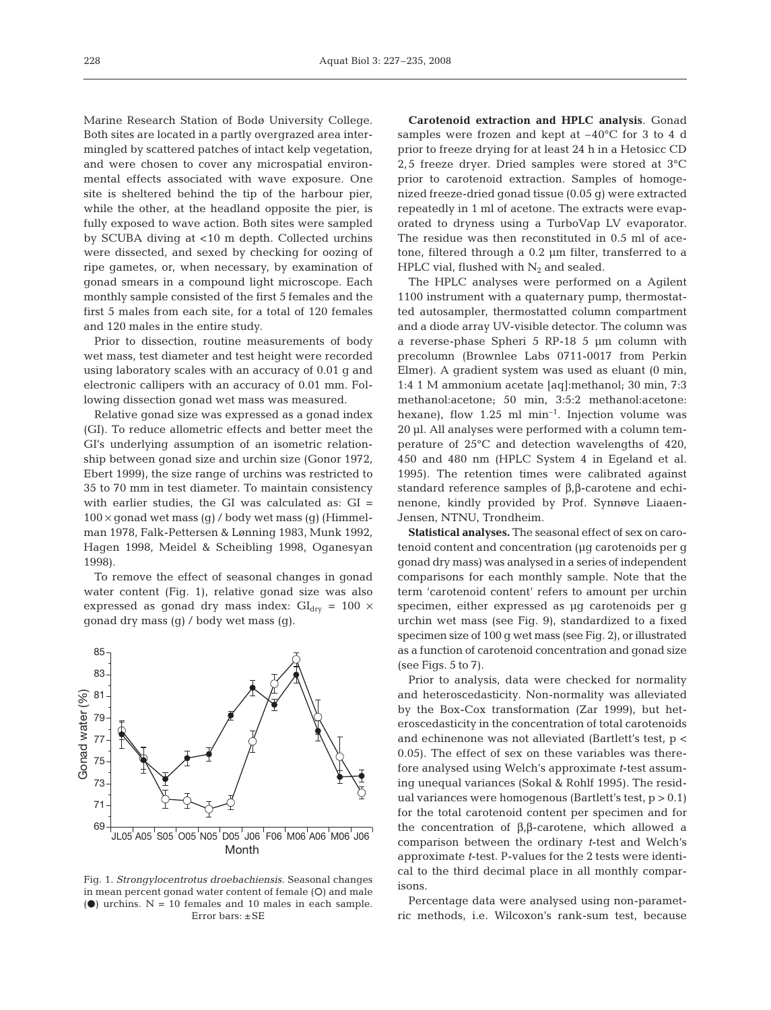Marine Research Station of Bodø University College. Both sites are located in a partly overgrazed area intermingled by scattered patches of intact kelp vegetation, and were chosen to cover any microspatial environmental effects associated with wave exposure. One site is sheltered behind the tip of the harbour pier, while the other, at the headland opposite the pier, is fully exposed to wave action. Both sites were sampled by SCUBA diving at <10 m depth. Collected urchins were dissected, and sexed by checking for oozing of ripe gametes, or, when necessary, by examination of gonad smears in a compound light microscope. Each monthly sample consisted of the first 5 females and the first 5 males from each site, for a total of 120 females and 120 males in the entire study.

Prior to dissection, routine measurements of body wet mass, test diameter and test height were recorded using laboratory scales with an accuracy of 0.01 g and electronic callipers with an accuracy of 0.01 mm. Following dissection gonad wet mass was measured.

Relative gonad size was expressed as a gonad index (GI). To reduce allometric effects and better meet the GI's underlying assumption of an isometric relationship between gonad size and urchin size (Gonor 1972, Ebert 1999), the size range of urchins was restricted to 35 to 70 mm in test diameter. To maintain consistency with earlier studies, the GI was calculated as: GI =  $100 \times$  gonad wet mass (g) / body wet mass (g) (Himmelman 1978, Falk-Pettersen & Lønning 1983, Munk 1992, Hagen 1998, Meidel & Scheibling 1998, Oganesyan 1998).

To remove the effect of seasonal changes in gonad water content (Fig. 1), relative gonad size was also expressed as gonad dry mass index:  $GI_{\text{dry}} = 100 \times$ gonad dry mass (g) / body wet mass (g).



Fig. 1. *Strongylocentrotus droebachiensis*. Seasonal changes in mean percent gonad water content of female (O) and male ( $\bullet$ ) urchins. N = 10 females and 10 males in each sample. Error bars: ±SE

**Carotenoid extraction and HPLC analysis**. Gonad samples were frozen and kept at –40°C for 3 to 4 d prior to freeze drying for at least 24 h in a Hetosicc CD 2,5 freeze dryer. Dried samples were stored at 3°C prior to carotenoid extraction. Samples of homogenized freeze-dried gonad tissue (0.05 g) were extracted repeatedly in 1 ml of acetone. The extracts were evaporated to dryness using a TurboVap LV evaporator. The residue was then reconstituted in 0.5 ml of acetone, filtered through a 0.2 µm filter, transferred to a HPLC vial, flushed with  $N_2$  and sealed.

The HPLC analyses were performed on a Agilent 1100 instrument with a quaternary pump, thermostatted autosampler, thermostatted column compartment and a diode array UV-visible detector. The column was a reverse-phase Spheri 5 RP-18 5 µm column with precolumn (Brownlee Labs 0711-0017 from Perkin Elmer). A gradient system was used as eluant (0 min, 1:4 1 M ammonium acetate [aq]:methanol; 30 min, 7:3 methanol:acetone; 50 min, 3:5:2 methanol:acetone: hexane), flow  $1.25$  ml min<sup>-1</sup>. Injection volume was 20 µl. All analyses were performed with a column temperature of 25°C and detection wavelengths of 420, 450 and 480 nm (HPLC System 4 in Egeland et al. 1995). The retention times were calibrated against standard reference samples of β,β-carotene and echinenone, kindly provided by Prof. Synnøve Liaaen-Jensen, NTNU, Trondheim.

**Statistical analyses.** The seasonal effect of sex on carotenoid content and concentration (µg carotenoids per g gonad dry mass) was analysed in a series of independent comparisons for each monthly sample. Note that the term 'carotenoid content' refers to amount per urchin specimen, either expressed as µg carotenoids per g urchin wet mass (see Fig. 9), standardized to a fixed specimen size of 100 g wet mass (see Fig. 2), or illustrated as a function of carotenoid concentration and gonad size (see Figs.  $5$  to  $7$ ).

Prior to analysis, data were checked for normality and heteroscedasticity. Non-normality was alleviated by the Box-Cox transformation (Zar 1999), but heteroscedasticity in the concentration of total carotenoids and echinenone was not alleviated (Bartlett's test, p < 0.05). The effect of sex on these variables was therefore analysed using Welch's approximate *t*-test assuming unequal variances (Sokal & Rohlf 1995). The residual variances were homogenous (Bartlett's test,  $p > 0.1$ ) for the total carotenoid content per specimen and for the concentration of β,β-carotene, which allowed a comparison between the ordinary *t*-test and Welch's approximate *t*-test. P-values for the 2 tests were identical to the third decimal place in all monthly comparisons.

Percentage data were analysed using non-parametric methods, i.e. Wilcoxon's rank-sum test, because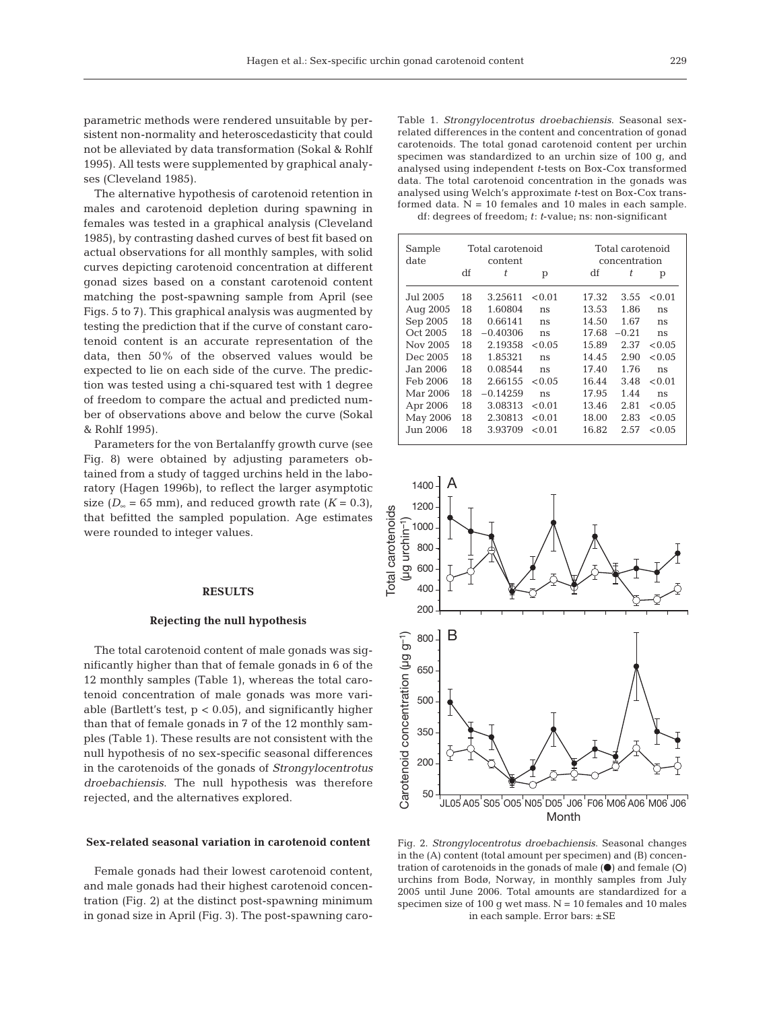parametric methods were rendered unsuitable by persistent non-normality and heteroscedasticity that could not be alleviated by data transformation (Sokal & Rohlf 1995). All tests were supplemented by graphical analyses (Cleveland 1985).

The alternative hypothesis of carotenoid retention in males and carotenoid depletion during spawning in females was tested in a graphical analysis (Cleveland 1985), by contrasting dashed curves of best fit based on actual observations for all monthly samples, with solid curves depicting carotenoid concentration at different gonad sizes based on a constant carotenoid content matching the post-spawning sample from April (see Figs. 5 to 7). This graphical analysis was augmented by testing the prediction that if the curve of constant carotenoid content is an accurate representation of the data, then 50% of the observed values would be expected to lie on each side of the curve. The prediction was tested using a chi-squared test with 1 degree of freedom to compare the actual and predicted number of observations above and below the curve (Sokal & Rohlf 1995).

Parameters for the von Bertalanffy growth curve (see Fig. 8) were obtained by adjusting parameters obtained from a study of tagged urchins held in the laboratory (Hagen 1996b), to reflect the larger asymptotic size ( $D_{\infty}$  = 65 mm), and reduced growth rate ( $K = 0.3$ ), that befitted the sampled population. Age estimates were rounded to integer values.

## **RESULTS**

## **Rejecting the null hypothesis**

The total carotenoid content of male gonads was significantly higher than that of female gonads in 6 of the 12 monthly samples (Table 1), whereas the total carotenoid concentration of male gonads was more variable (Bartlett's test,  $p < 0.05$ ), and significantly higher than that of female gonads in 7 of the 12 monthly samples (Table 1). These results are not consistent with the null hypothesis of no sex-specific seasonal differences in the carotenoids of the gonads of *Strongylocentrotus droebachiensis*. The null hypothesis was therefore rejected, and the alternatives explored.

#### **Sex-related seasonal variation in carotenoid content**

Female gonads had their lowest carotenoid content, and male gonads had their highest carotenoid concentration (Fig. 2) at the distinct post-spawning minimum in gonad size in April (Fig. 3). The post-spawning caro-

Table 1. *Strongylocentrotus droebachiensis*. Seasonal sexrelated differences in the content and concentration of gonad carotenoids. The total gonad carotenoid content per urchin specimen was standardized to an urchin size of 100 g, and analysed using independent *t*-tests on Box-Cox transformed data. The total carotenoid concentration in the gonads was analysed using Welch's approximate *t*-test on Box-Cox transformed data.  $N = 10$  females and 10 males in each sample. df: degrees of freedom; *t*: *t*-value; ns: non-significant

| Sample<br>date |    | Total carotenoid<br>content |        |       | Total carotenoid<br>concentration |        |  |  |
|----------------|----|-----------------------------|--------|-------|-----------------------------------|--------|--|--|
|                | df | t                           | p      | df    | t                                 | р      |  |  |
| Jul 2005       | 18 | 3.25611                     | < 0.01 | 17.32 | 3.55                              | < 0.01 |  |  |
| Aug 2005       | 18 | 1.60804                     | ns     | 13.53 | 1.86                              | ns     |  |  |
| Sep 2005       | 18 | 0.66141                     | ns     | 14.50 | 1.67                              | ns     |  |  |
| Oct 2005       | 18 | $-0.40306$                  | ns     | 17.68 | $-0.21$                           | ns     |  |  |
| Nov 2005       | 18 | 2.19358                     | < 0.05 | 15.89 | 2.37                              | < 0.05 |  |  |
| Dec 2005       | 18 | 1.85321                     | ns     | 14.45 | 2.90                              | < 0.05 |  |  |
| Jan 2006.      | 18 | 0.08544                     | ns     | 17.40 | 1.76                              | ns     |  |  |
| Feb 2006       | 18 | 2.66155                     | < 0.05 | 16.44 | 3.48                              | < 0.01 |  |  |
| Mar 2006       | 18 | $-0.14259$                  | ns     | 17.95 | 1.44                              | ns     |  |  |
| Apr 2006       | 18 | 3.08313                     | < 0.01 | 13.46 | 2.81                              | < 0.05 |  |  |
| May 2006       | 18 | 2.30813                     | < 0.01 | 18.00 | 2.83                              | < 0.05 |  |  |
| Jun 2006.      | 18 | 3.93709                     | < 0.01 | 16.82 | 2.57                              | < 0.05 |  |  |



Fig. 2. *Strongylocentrotus droebachiensis*. Seasonal changes in the (A) content (total amount per specimen) and (B) concentration of carotenoids in the gonads of male  $(\bullet)$  and female  $(O)$ urchins from Bodø, Norway, in monthly samples from July 2005 until June 2006. Total amounts are standardized for a specimen size of 100 g wet mass.  $N = 10$  females and 10 males in each sample. Error bars: ±SE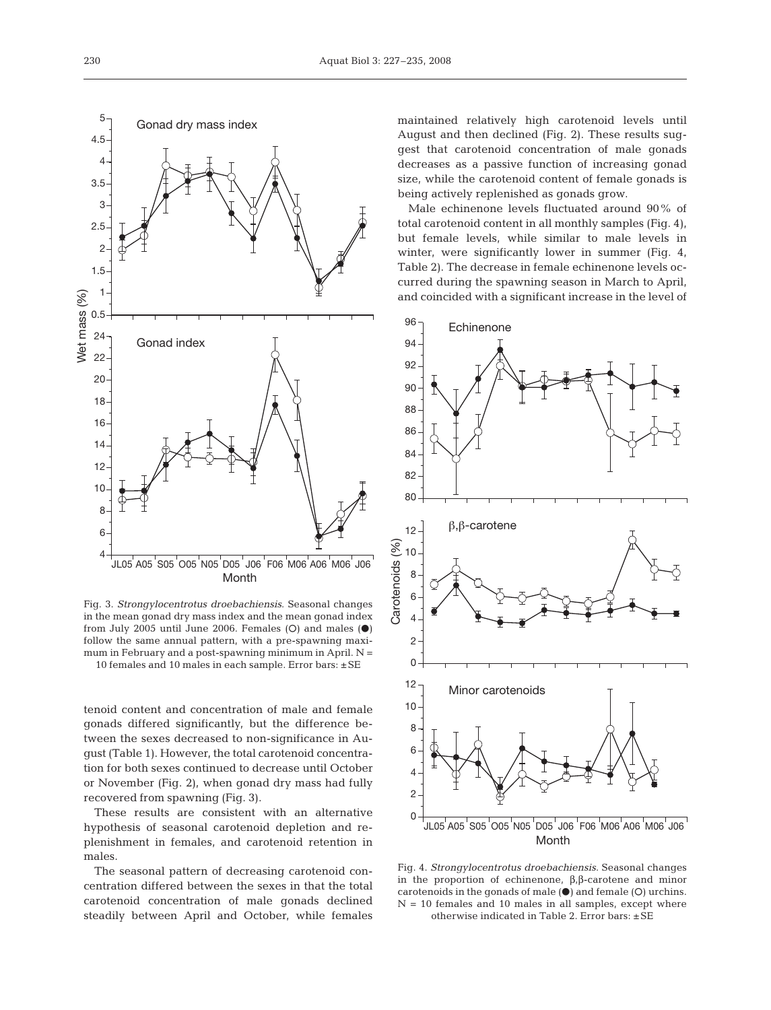

Fig. 3. *Strongylocentrotus droebachiensis*. Seasonal changes in the mean gonad dry mass index and the mean gonad index from July 2005 until June 2006. Females (O) and males  $(\bullet)$ follow the same annual pattern, with a pre-spawning maximum in February and a post-spawning minimum in April.  $N =$ 10 females and 10 males in each sample. Error bars: ±SE

tenoid content and concentration of male and female gonads differed significantly, but the difference between the sexes decreased to non-significance in August (Table 1). However, the total carotenoid concentration for both sexes continued to decrease until October or November (Fig. 2), when gonad dry mass had fully recovered from spawning (Fig. 3).

These results are consistent with an alternative hypothesis of seasonal carotenoid depletion and replenishment in females, and carotenoid retention in males.

The seasonal pattern of decreasing carotenoid concentration differed between the sexes in that the total carotenoid concentration of male gonads declined steadily between April and October, while females maintained relatively high carotenoid levels until August and then declined (Fig. 2). These results suggest that carotenoid concentration of male gonads decreases as a passive function of increasing gonad size, while the carotenoid content of female gonads is being actively replenished as gonads grow.

Male echinenone levels fluctuated around 90% of total carotenoid content in all monthly samples (Fig. 4), but female levels, while similar to male levels in winter, were significantly lower in summer (Fig. 4, Table 2). The decrease in female echinenone levels occurred during the spawning season in March to April, and coincided with a significant increase in the level of



Fig. 4. *Strongylocentrotus droebachiensis*. Seasonal changes in the proportion of echinenone, β,β-carotene and minor carotenoids in the gonads of male  $(\bullet)$  and female  $(O)$  urchins.  $N = 10$  females and 10 males in all samples, except where otherwise indicated in Table 2. Error bars: ±SE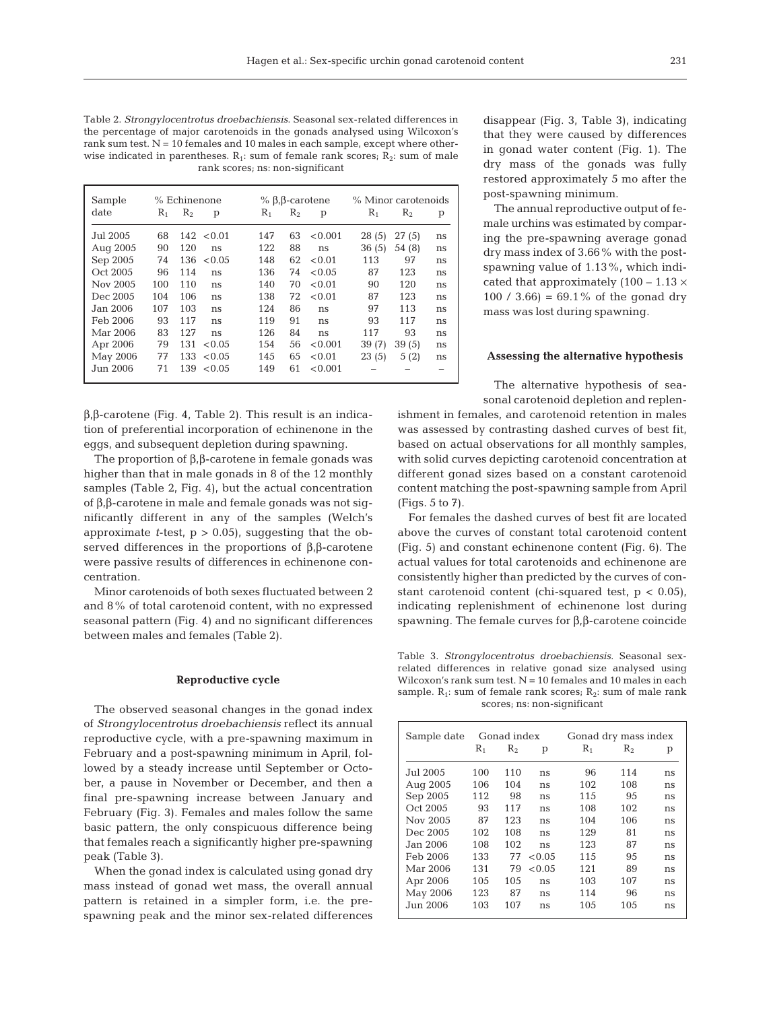Table 2. *Strongylocentrotus droebachiensis*. Seasonal sex-related differences in the percentage of major carotenoids in the gonads analysed using Wilcoxon's rank sum test. N = 10 females and 10 males in each sample, except where otherwise indicated in parentheses.  $R_1$ : sum of female rank scores;  $R_2$ : sum of male rank scores; ns: non-significant

| Sample   | % Echinenone |       |        | % β,β-carotene |         |         | % Minor carotenoids |         |    |
|----------|--------------|-------|--------|----------------|---------|---------|---------------------|---------|----|
| date     | $R_{1}$      | $R_2$ | p      | $R_1$          | $R_{2}$ | p       | R,                  | $R_{2}$ | р  |
| Jul 2005 | 68           | 142   | < 0.01 | 147            | 63      | < 0.001 | 28(5)               | 27(5)   | ns |
| Aug 2005 | 90           | 120   | ns     | 122            | 88      | ns      | 36(5)               | 54 (8)  | ns |
| Sep 2005 | 74           | 136   | < 0.05 | 148            | 62      | < 0.01  | 113                 | 97      | ns |
| Oct 2005 | 96           | 114   | ns     | 136            | 74      | < 0.05  | 87                  | 123     | ns |
| Nov 2005 | 100          | 110   | ns     | 140            | 70      | < 0.01  | 90                  | 120     | ns |
| Dec 2005 | 104          | 106   | ns     | 138            | 72      | < 0.01  | 87                  | 123     | ns |
| Jan 2006 | 107          | 103   | ns     | 124            | 86      | ns      | 97                  | 113     | ns |
| Feb 2006 | 93           | 117   | ns     | 119            | 91      | ns      | 93                  | 117     | ns |
| Mar 2006 | 83           | 127   | ns     | 126            | 84      | ns      | 117                 | 93      | ns |
| Apr 2006 | 79           | 131   | < 0.05 | 154            | 56      | < 0.001 | 39(7)               | 39(5)   | ns |
| May 2006 | 77           | 133   | < 0.05 | 145            | 65      | < 0.01  | 23(5)               | 5(2)    | ns |
| Jun 2006 | 71           | 139   | < 0.05 | 149            | 61      | < 0.001 |                     |         |    |

β,β-carotene (Fig. 4, Table 2). This result is an indication of preferential incorporation of echinenone in the eggs, and subsequent depletion during spawning.

The proportion of β,β-carotene in female gonads was higher than that in male gonads in 8 of the 12 monthly samples (Table 2, Fig. 4), but the actual concentration of β,β-carotene in male and female gonads was not significantly different in any of the samples (Welch's approximate *t*-test,  $p > 0.05$ , suggesting that the observed differences in the proportions of  $β, β$ -carotene were passive results of differences in echinenone concentration.

Minor carotenoids of both sexes fluctuated between 2 and 8% of total carotenoid content, with no expressed seasonal pattern (Fig. 4) and no significant differences between males and females (Table 2).

#### **Reproductive cycle**

The observed seasonal changes in the gonad index of *Strongylocentrotus droebachiensis* reflect its annual reproductive cycle, with a pre-spawning maximum in February and a post-spawning minimum in April, followed by a steady increase until September or October, a pause in November or December, and then a final pre-spawning increase between January and February (Fig. 3). Females and males follow the same basic pattern, the only conspicuous difference being that females reach a significantly higher pre-spawning peak (Table 3).

When the gonad index is calculated using gonad dry mass instead of gonad wet mass, the overall annual pattern is retained in a simpler form, i.e. the prespawning peak and the minor sex-related differences disappear (Fig. 3, Table 3), indicating that they were caused by differences in gonad water content (Fig. 1). The dry mass of the gonads was fully restored approximately 5 mo after the post-spawning minimum.

The annual reproductive output of female urchins was estimated by comparing the pre-spawning average gonad dry mass index of 3.66% with the postspawning value of 1.13%, which indicated that approximately  $(100 - 1.13 \times$ 100 / 3.66) =  $69.1\%$  of the gonad dry mass was lost during spawning.

### **Assessing the alternative hypothesis**

The alternative hypothesis of seasonal carotenoid depletion and replen-

ishment in females, and carotenoid retention in males was assessed by contrasting dashed curves of best fit, based on actual observations for all monthly samples, with solid curves depicting carotenoid concentration at different gonad sizes based on a constant carotenoid content matching the post-spawning sample from April (Figs. 5 to 7).

For females the dashed curves of best fit are located above the curves of constant total carotenoid content (Fig. 5) and constant echinenone content (Fig. 6). The actual values for total carotenoids and echinenone are consistently higher than predicted by the curves of constant carotenoid content (chi-squared test, p < 0.05), indicating replenishment of echinenone lost during spawning. The female curves for β,β-carotene coincide

Table 3. *Strongylocentrotus droebachiensis.* Seasonal sexrelated differences in relative gonad size analysed using Wilcoxon's rank sum test.  $N = 10$  females and 10 males in each sample.  $R_1$ : sum of female rank scores;  $R_2$ : sum of male rank scores; ns: non-significant

| Sample date | Gonad index |         |        | Gonad dry mass index |         |    |  |
|-------------|-------------|---------|--------|----------------------|---------|----|--|
|             | $\rm R_1$   | $R_{2}$ | р      | $R_{1}$              | $R_{2}$ | р  |  |
| Jul 2005.   | 100         | 110     | ns     | 96                   | 114     | ns |  |
| Aug 2005    | 106         | 104     | ns     | 102                  | 108     | ns |  |
| Sep 2005    | 112         | 98      | ns     | 115                  | 95      | ns |  |
| Oct 2005    | 93          | 117     | ns     | 108                  | 102     | ns |  |
| Nov 2005    | 87          | 123     | ns     | 104                  | 106     | ns |  |
| Dec 2005    | 102         | 108     | ns     | 129                  | 81      | ns |  |
| Jan 2006.   | 108         | 102     | ns     | 123                  | 87      | ns |  |
| Feb 2006    | 133         | 77      | < 0.05 | 115                  | 95      | ns |  |
| Mar 2006    | 131         | 79      | < 0.05 | 121                  | 89      | ns |  |
| Apr 2006    | 105         | 105     | ns     | 103                  | 107     | ns |  |
| May 2006    | 123         | 87      | ns     | 114                  | 96      | ns |  |
| Jun 2006    | 103         | 107     | ns     | 105                  | 105     | ns |  |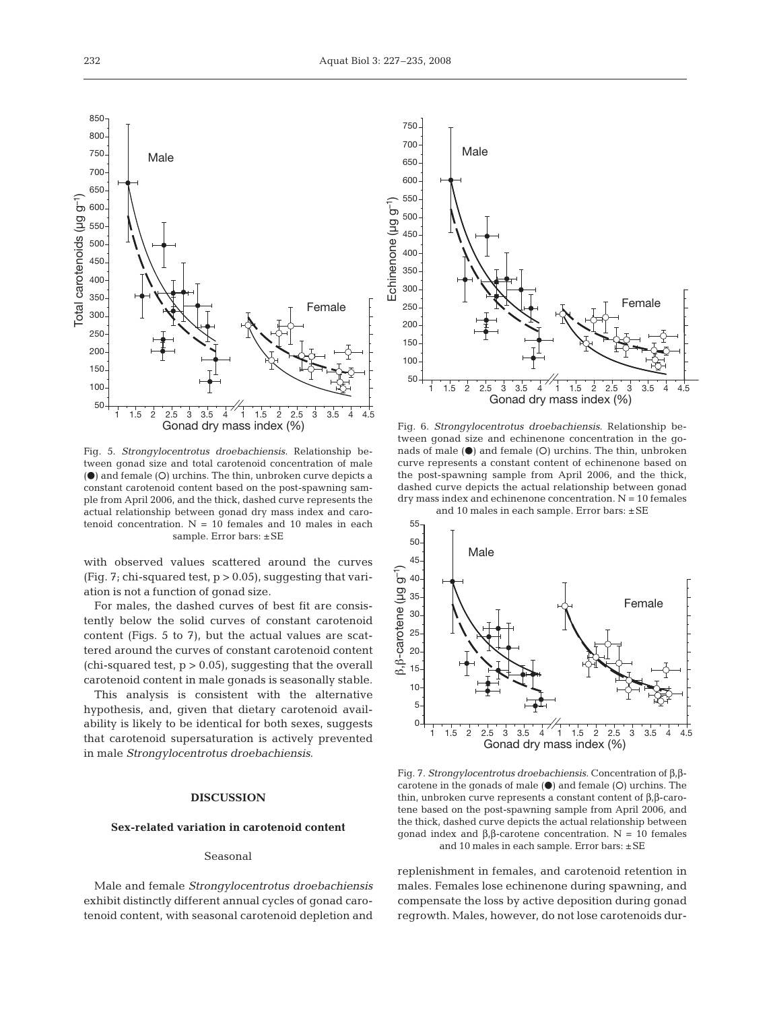Echinenone (µg g–1)

Echinenone (µg

ြ

Male

Fig. 5. *Strongylocentrotus droebachiensis*. Relationship between gonad size and total carotenoid concentration of male  $\Theta$  and female  $\Theta$  urchins. The thin, unbroken curve depicts a constant carotenoid content based on the post-spawning sample from April 2006, and the thick, dashed curve represents the actual relationship between gonad dry mass index and carotenoid concentration.  $N = 10$  females and 10 males in each sample. Error bars:  $\pm$ SE

with observed values scattered around the curves (Fig. 7; chi-squared test,  $p > 0.05$ ), suggesting that variation is not a function of gonad size.

For males, the dashed curves of best fit are consistently below the solid curves of constant carotenoid content (Figs. 5 to 7), but the actual values are scattered around the curves of constant carotenoid content (chi-squared test,  $p > 0.05$ ), suggesting that the overall carotenoid content in male gonads is seasonally stable.

This analysis is consistent with the alternative hypothesis, and, given that dietary carotenoid availability is likely to be identical for both sexes, suggests that carotenoid supersaturation is actively prevented in male *Strongylocentrotus droebachiensis*.

# **DISCUSSION**

#### **Sex-related variation in carotenoid content**

#### Seasonal

Male and female *Strongylocentrotus droebachiensis* exhibit distinctly different annual cycles of gonad carotenoid content, with seasonal carotenoid depletion and



Female

and 10 males in each sample. Error bars: ±SE



Fig. 7. *Strongylocentrotus droebachiensis*. Concentration of β,βcarotene in the gonads of male  $(\bullet)$  and female  $(O)$  urchins. The thin, unbroken curve represents a constant content of β,β-carotene based on the post-spawning sample from April 2006, and the thick, dashed curve depicts the actual relationship between gonad index and β,β-carotene concentration. N = 10 females and 10 males in each sample. Error bars: ±SE

replenishment in females, and carotenoid retention in males. Females lose echinenone during spawning, and compensate the loss by active deposition during gonad regrowth. Males, however, do not lose carotenoids dur-

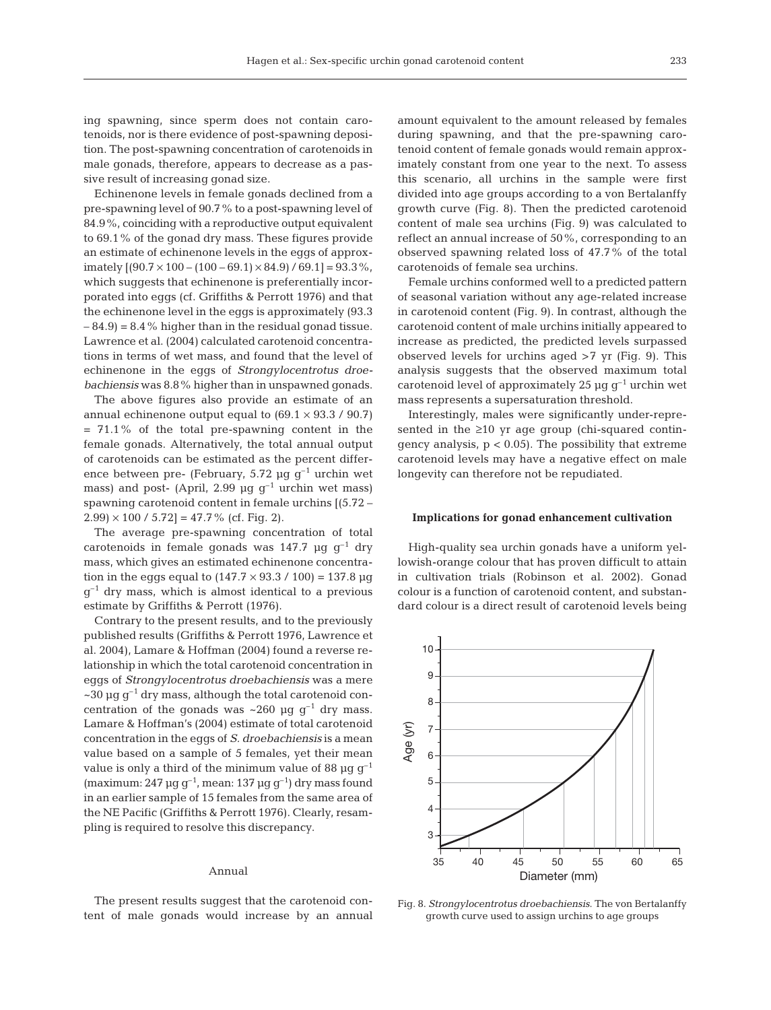ing spawning, since sperm does not contain carotenoids, nor is there evidence of post-spawning deposition. The post-spawning concentration of carotenoids in male gonads, therefore, appears to decrease as a passive result of increasing gonad size.

Echinenone levels in female gonads declined from a pre-spawning level of 90.7% to a post-spawning level of 84.9%, coinciding with a reproductive output equivalent to 69.1% of the gonad dry mass. These figures provide an estimate of echinenone levels in the eggs of approximately  $[(90.7 \times 100 - (100 - 69.1) \times 84.9) / 69.1] = 93.3\%$ , which suggests that echinenone is preferentially incorporated into eggs (cf. Griffiths & Perrott 1976) and that the echinenone level in the eggs is approximately (93.3  $-84.9$  = 8.4% higher than in the residual gonad tissue. Lawrence et al. (2004) calculated carotenoid concentrations in terms of wet mass, and found that the level of echinenone in the eggs of *Strongylocentrotus droebachiensis* was 8.8% higher than in unspawned gonads.

The above figures also provide an estimate of an annual echinenone output equal to  $(69.1 \times 93.3 / 90.7)$ = 71.1% of the total pre-spawning content in the female gonads. Alternatively, the total annual output of carotenoids can be estimated as the percent difference between pre- (February, 5.72  $\mu$ g g<sup>-1</sup> urchin wet mass) and post- (April, 2.99 µg  $g^{-1}$  urchin wet mass) spawning carotenoid content in female urchins [(5.72 –  $2.99 \times 100 / 5.72$ ] = 47.7% (cf. Fig. 2).

The average pre-spawning concentration of total carotenoids in female gonads was 147.7  $\mu$ g g<sup>-1</sup> dry mass, which gives an estimated echinenone concentration in the eggs equal to  $(147.7 \times 93.3 / 100) = 137.8 \mu g$  $g^{-1}$  dry mass, which is almost identical to a previous estimate by Griffiths & Perrott (1976).

Contrary to the present results, and to the previously published results (Griffiths & Perrott 1976, Lawrence et al. 2004), Lamare & Hoffman (2004) found a reverse relationship in which the total carotenoid concentration in eggs of *Strongylocentrotus droebachiensis* was a mere  $\sim$ 30 µg g<sup>-1</sup> dry mass, although the total carotenoid concentration of the gonads was  $\sim 260 \mu g g^{-1}$  dry mass. Lamare & Hoffman's (2004) estimate of total carotenoid concentration in the eggs of *S. droebachiensis* is a mean value based on a sample of 5 females, yet their mean value is only a third of the minimum value of 88  $\mu$ g g<sup>-1</sup> (maximum: 247 µg g<sup>-1</sup>, mean: 137 µg g<sup>-1</sup>) dry mass found in an earlier sample of 15 females from the same area of the NE Pacific (Griffiths & Perrott 1976). Clearly, resampling is required to resolve this discrepancy.

## Annual

The present results suggest that the carotenoid content of male gonads would increase by an annual amount equivalent to the amount released by females during spawning, and that the pre-spawning carotenoid content of female gonads would remain approximately constant from one year to the next. To assess this scenario, all urchins in the sample were first divided into age groups according to a von Bertalanffy growth curve (Fig. 8). Then the predicted carotenoid content of male sea urchins (Fig. 9) was calculated to reflect an annual increase of 50%, corresponding to an observed spawning related loss of 47.7% of the total carotenoids of female sea urchins.

Female urchins conformed well to a predicted pattern of seasonal variation without any age-related increase in carotenoid content (Fig. 9). In contrast, although the carotenoid content of male urchins initially appeared to increase as predicted, the predicted levels surpassed observed levels for urchins aged >7 yr (Fig. 9). This analysis suggests that the observed maximum total carotenoid level of approximately 25  $\mu$ g g<sup>-1</sup> urchin wet mass represents a supersaturation threshold.

Interestingly, males were significantly under-represented in the ≥10 yr age group (chi-squared contingency analysis,  $p < 0.05$ ). The possibility that extreme carotenoid levels may have a negative effect on male longevity can therefore not be repudiated.

## **Implications for gonad enhancement cultivation**

High-quality sea urchin gonads have a uniform yellowish-orange colour that has proven difficult to attain in cultivation trials (Robinson et al. 2002). Gonad colour is a function of carotenoid content, and substandard colour is a direct result of carotenoid levels being



Fig. 8. *Strongylocentrotus droebachiensis*. The von Bertalanffy growth curve used to assign urchins to age groups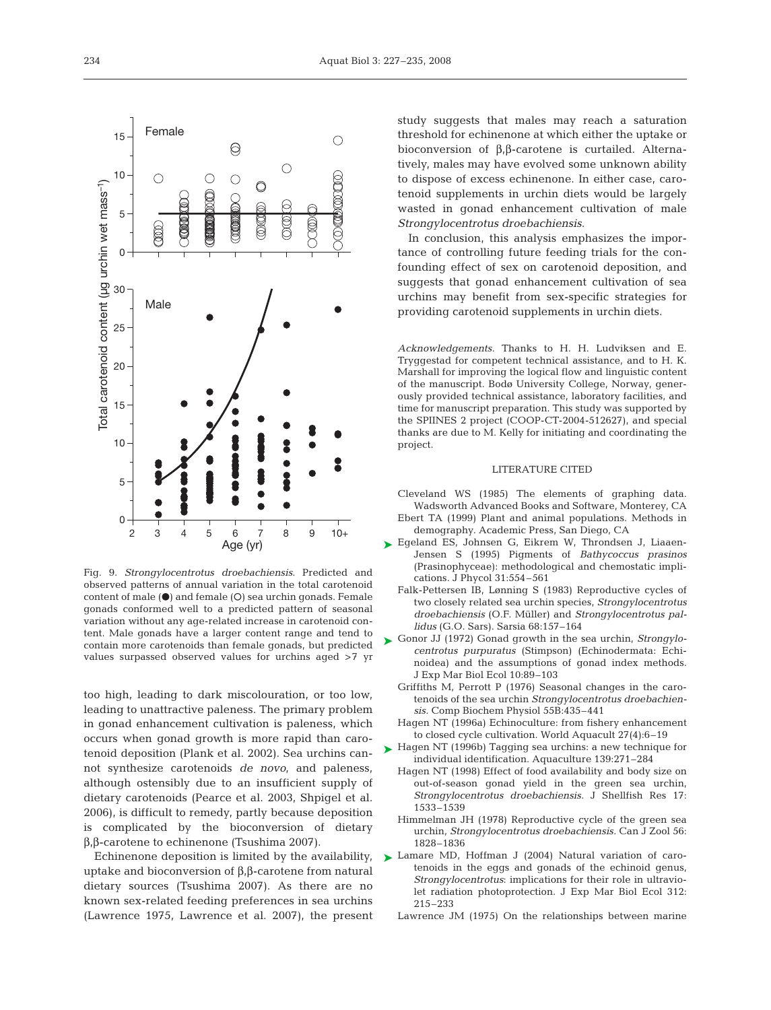

*Acknowledgements.* Thanks to H. H. Ludviksen and E. Tryggestad for competent technical assistance, and to H. K. Marshall for improving the logical flow and linguistic content of the manuscript. Bodø University College, Norway, generously provided technical assistance, laboratory facilities, and time for manuscript preparation. This study was supported by the SPIINES 2 project (COOP-CT-2004-512627), and special thanks are due to M. Kelly for initiating and coordinating the project.

providing carotenoid supplements in urchin diets.

## LITERATURE CITED

Cleveland WS (1985) The elements of graphing data. Wadsworth Advanced Books and Software, Monterey, CA Ebert TA (1999) Plant and animal populations. Methods in

- demography. Academic Press, San Diego, CA Egeland ES, Johnsen G, Eikrem W, Throndsen J, Liaaen-
- Jensen S (1995) Pigments of *Bathycoccus prasinos* (Prasinophyceae): methodological and chemostatic implications. J Phycol 31:554–561 ➤
	- Falk-Pettersen IB, Lønning S (1983) Reproductive cycles of two closely related sea urchin species, *Strongylocentrotus droebachiensis* (O.F. Müller) and *Strongylocentrotus pallidus* (G.O. Sars). Sarsia 68:157–164
- Gonor JJ (1972) Gonad growth in the sea urchin, *Strongylo-*➤ *centrotus purpuratus* (Stimpson) (Echinodermata: Echinoidea) and the assumptions of gonad index methods. J Exp Mar Biol Ecol 10:89–103
	- Griffiths M, Perrott P (1976) Seasonal changes in the carotenoids of the sea urchin *Strongylocentrotus droebachiensis.* Comp Biochem Physiol 55B:435–441
	- Hagen NT (1996a) Echinoculture: from fishery enhancement to closed cycle cultivation. World Aquacult 27(4):6–19
- ► Hagen NT (1996b) Tagging sea urchins: a new technique for individual identification. Aquaculture 139:271–284
	- Hagen NT (1998) Effect of food availability and body size on out-of-season gonad yield in the green sea urchin, *Strongylocentrotus droebachiensis.* J Shellfish Res 17: 1533–1539
	- Himmelman JH (1978) Reproductive cycle of the green sea urchin, *Strongylocentrotus droebachiensis.* Can J Zool 56: 1828–1836
- Lamare MD, Hoffman J (2004) Natural variation of carotenoids in the eggs and gonads of the echinoid genus, *Strongylocentrotus*: implications for their role in ultraviolet radiation photoprotection. J Exp Mar Biol Ecol 312: 215–233 ➤
	- Lawrence JM (1975) On the relationships between marine

Fig. 9. *Strongylocentrotus droebachiensis*. Predicted and observed patterns of annual variation in the total carotenoid content of male  $(\bullet)$  and female  $(O)$  sea urchin gonads. Female gonads conformed well to a predicted pattern of seasonal variation without any age-related increase in carotenoid content. Male gonads have a larger content range and tend to contain more carotenoids than female gonads, but predicted values surpassed observed values for urchins aged >7 yr

too high, leading to dark miscolouration, or too low, leading to unattractive paleness. The primary problem in gonad enhancement cultivation is paleness, which occurs when gonad growth is more rapid than carotenoid deposition (Plank et al. 2002). Sea urchins cannot synthesize carotenoids *de novo*, and paleness, although ostensibly due to an insufficient supply of dietary carotenoids (Pearce et al. 2003, Shpigel et al. 2006), is difficult to remedy, partly because deposition is complicated by the bioconversion of dietary

β,β-carotene to echinenone (Tsushima 2007). Echinenone deposition is limited by the availability, uptake and bioconversion of β,β-carotene from natural dietary sources (Tsushima 2007). As there are no known sex-related feeding preferences in sea urchins (Lawrence 1975, Lawrence et al. 2007), the present